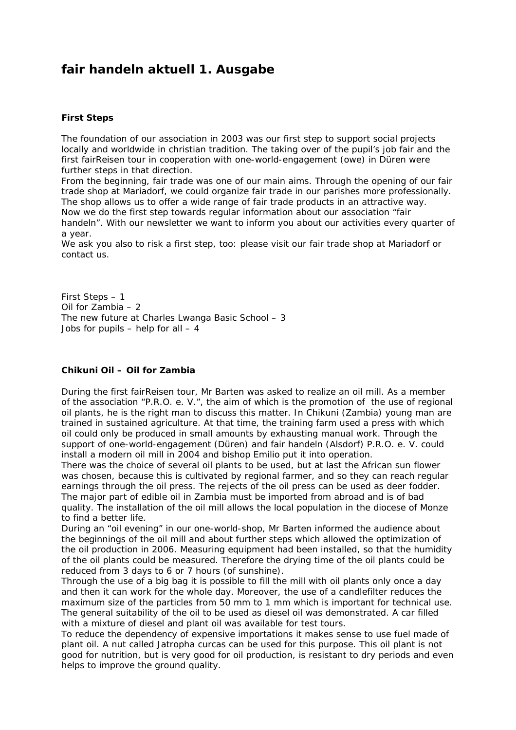# **fair handeln aktuell 1. Ausgabe**

## **First Steps**

The foundation of our association in 2003 was our first step to support social projects locally and worldwide in christian tradition. The taking over of the pupil's job fair and the first fairReisen tour in cooperation with one-world-engagement (owe) in Düren were further steps in that direction.

From the beginning, fair trade was one of our main aims. Through the opening of our fair trade shop at Mariadorf, we could organize fair trade in our parishes more professionally. The shop allows us to offer a wide range of fair trade products in an attractive way. Now we do the first step towards regular information about our association "fair handeln". With our newsletter we want to inform you about our activities every quarter of a year.

We ask you also to risk a first step, too: please visit our fair trade shop at Mariadorf or contact us.

First Steps – 1 Oil for Zambia – 2 The new future at Charles Lwanga Basic School – 3 Jobs for pupils – help for all  $-4$ 

## **Chikuni Oil – Oil for Zambia**

During the first fairReisen tour, Mr Barten was asked to realize an oil mill. As a member of the association "P.R.O. e. V.", the aim of which is the promotion of the use of regional oil plants, he is the right man to discuss this matter. In Chikuni (Zambia) young man are trained in sustained agriculture. At that time, the training farm used a press with which oil could only be produced in small amounts by exhausting manual work. Through the support of one-world-engagement (Düren) and fair handeln (Alsdorf) P.R.O. e. V. could install a modern oil mill in 2004 and bishop Emilio put it into operation.

There was the choice of several oil plants to be used, but at last the African sun flower was chosen, because this is cultivated by regional farmer, and so they can reach regular earnings through the oil press. The rejects of the oil press can be used as deer fodder. The major part of edible oil in Zambia must be imported from abroad and is of bad quality. The installation of the oil mill allows the local population in the diocese of Monze to find a better life.

During an "oil evening" in our one-world-shop, Mr Barten informed the audience about the beginnings of the oil mill and about further steps which allowed the optimization of the oil production in 2006. Measuring equipment had been installed, so that the humidity of the oil plants could be measured. Therefore the drying time of the oil plants could be reduced from 3 days to 6 or 7 hours (of sunshine).

Through the use of a big bag it is possible to fill the mill with oil plants only once a day and then it can work for the whole day. Moreover, the use of a candlefilter reduces the maximum size of the particles from 50 mm to 1 mm which is important for technical use. The general suitability of the oil to be used as diesel oil was demonstrated. A car filled with a mixture of diesel and plant oil was available for test tours.

To reduce the dependency of expensive importations it makes sense to use fuel made of plant oil. A nut called Jatropha curcas can be used for this purpose. This oil plant is not good for nutrition, but is very good for oil production, is resistant to dry periods and even helps to improve the ground quality.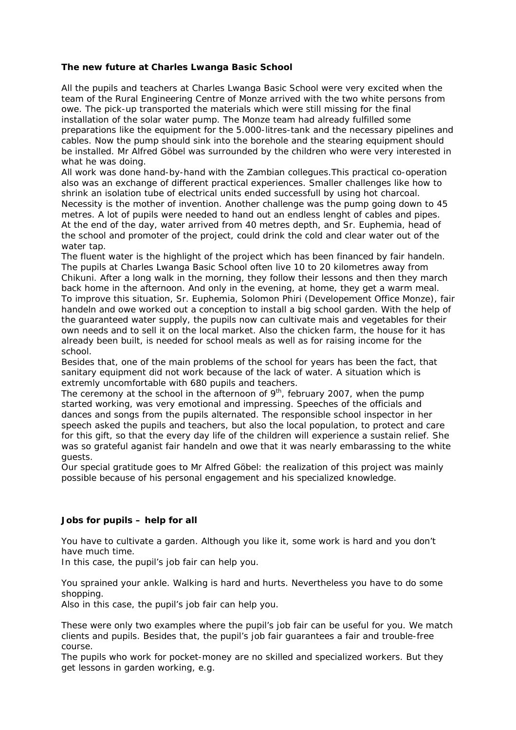## **The new future at Charles Lwanga Basic School**

All the pupils and teachers at Charles Lwanga Basic School were very excited when the team of the Rural Engineering Centre of Monze arrived with the two white persons from owe. The pick-up transported the materials which were still missing for the final installation of the solar water pump. The Monze team had already fulfilled some preparations like the equipment for the 5.000-litres-tank and the necessary pipelines and cables. Now the pump should sink into the borehole and the stearing equipment should be installed. Mr Alfred Göbel was surrounded by the children who were very interested in what he was doing.

All work was done hand-by-hand with the Zambian collegues.This practical co-operation also was an exchange of different practical experiences. Smaller challenges like how to shrink an isolation tube of electrical units ended successfull by using hot charcoal. Necessity is the mother of invention. Another challenge was the pump going down to 45 metres. A lot of pupils were needed to hand out an endless lenght of cables and pipes. At the end of the day, water arrived from 40 metres depth, and Sr. Euphemia, head of the school and promoter of the project, could drink the cold and clear water out of the water tap.

The fluent water is the highlight of the project which has been financed by fair handeln. The pupils at Charles Lwanga Basic School often live 10 to 20 kilometres away from Chikuni. After a long walk in the morning, they follow their lessons and then they march back home in the afternoon. And only in the evening, at home, they get a warm meal. To improve this situation, Sr. Euphemia, Solomon Phiri (Developement Office Monze), fair handeln and owe worked out a conception to install a big school garden. With the help of the guaranteed water supply, the pupils now can cultivate mais and vegetables for their own needs and to sell it on the local market. Also the chicken farm, the house for it has already been built, is needed for school meals as well as for raising income for the school.

Besides that, one of the main problems of the school for years has been the fact, that sanitary equipment did not work because of the lack of water. A situation which is extremly uncomfortable with 680 pupils and teachers.

The ceremony at the school in the afternoon of  $9<sup>th</sup>$ , february 2007, when the pump started working, was very emotional and impressing. Speeches of the officials and dances and songs from the pupils alternated. The responsible school inspector in her speech asked the pupils and teachers, but also the local population, to protect and care for this gift, so that the every day life of the children will experience a sustain relief. She was so grateful aganist fair handeln and owe that it was nearly embarassing to the white guests.

Our special gratitude goes to Mr Alfred Göbel: the realization of this project was mainly possible because of his personal engagement and his specialized knowledge.

#### **Jobs for pupils – help for all**

You have to cultivate a garden. Although you like it, some work is hard and you don't have much time.

In this case, the pupil's job fair can help you.

You sprained your ankle. Walking is hard and hurts. Nevertheless you have to do some shopping.

Also in this case, the pupil's job fair can help you.

These were only two examples where the pupil's job fair can be useful for you. We match clients and pupils. Besides that, the pupil's job fair guarantees a fair and trouble-free course.

The pupils who work for pocket-money are no skilled and specialized workers. But they get lessons in garden working, e.g.